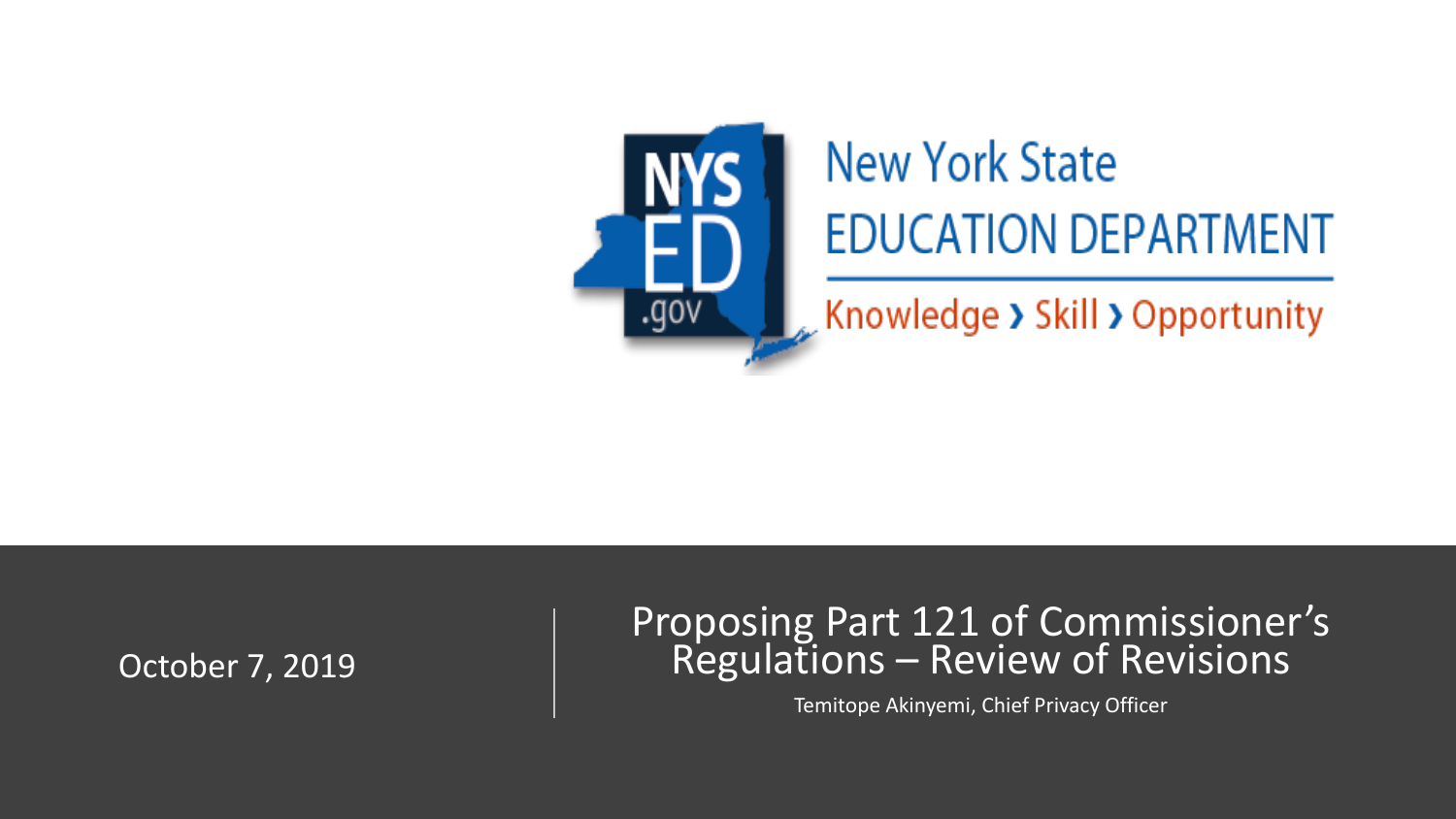

# **New York State EDUCATION DEPARTMENT**

 $\sim$  Knowledge > Skill > Opportunity

October 7, 2019

#### Proposing Part 121 of Commissioner's Regulations – Review of Revisions

Temitope Akinyemi, Chief Privacy Officer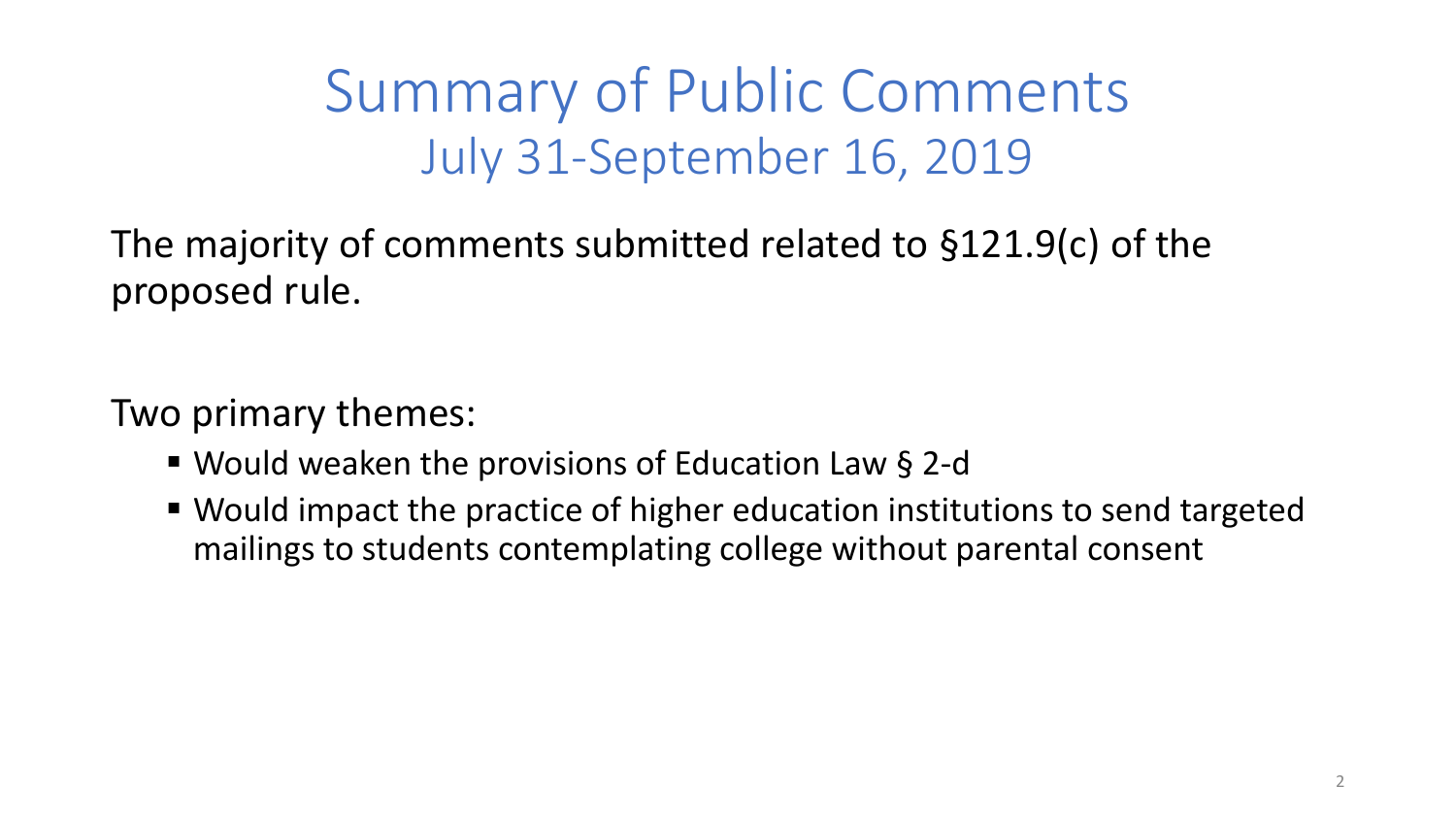Summary of Public Comments July 31-September 16, 2019

The majority of comments submitted related to §121.9(c) of the proposed rule.

Two primary themes:

- Would weaken the provisions of Education Law § 2-d
- Would impact the practice of higher education institutions to send targeted mailings to students contemplating college without parental consent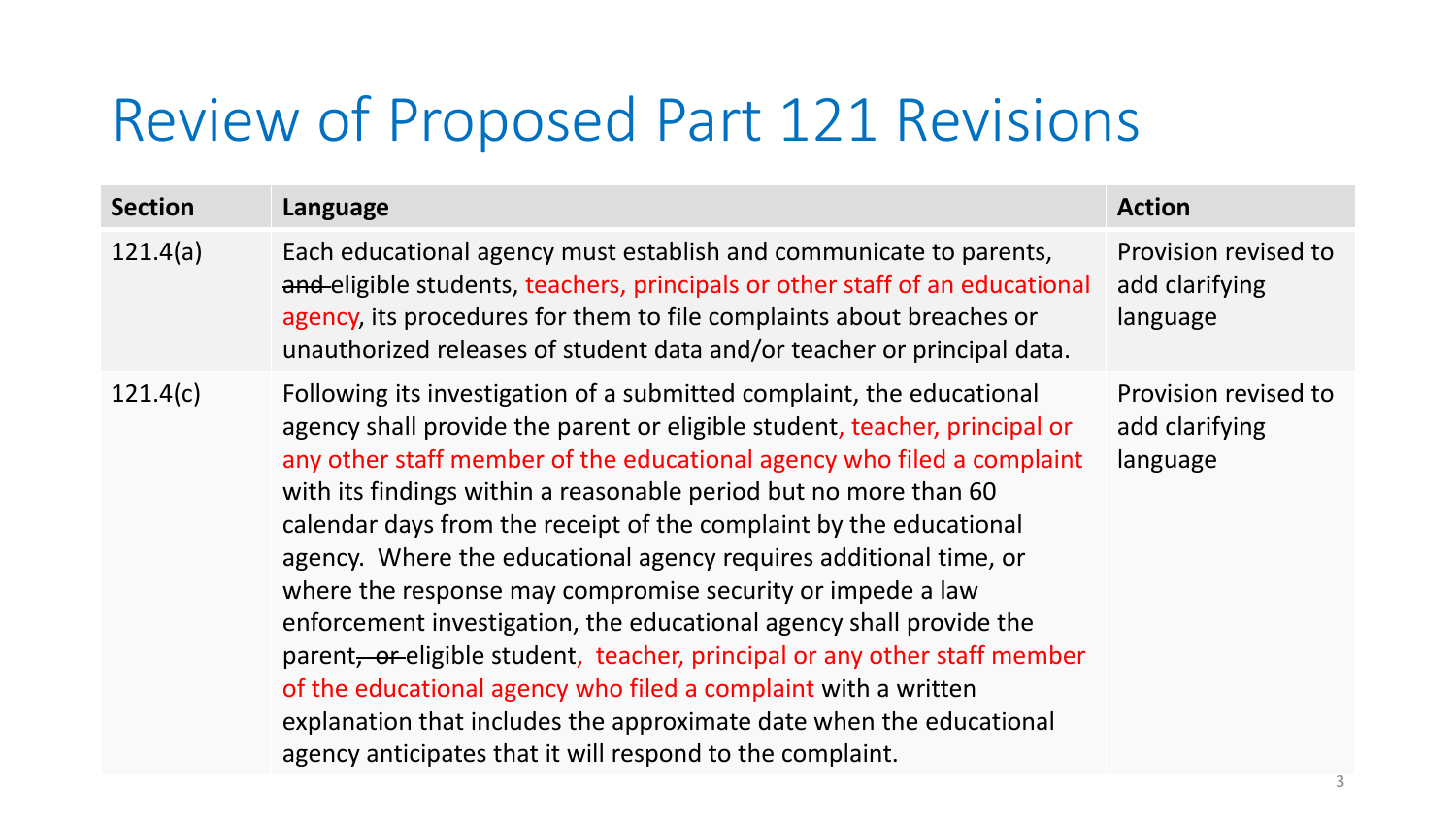#### Review of Proposed Part 121 Revisions

| <b>Section</b> | Language                                                                                                                                                                                                                                                                                                                                                                                                                                                                                                                                                                                                                                                                                                                                                                                                                                                             | <b>Action</b>                                      |
|----------------|----------------------------------------------------------------------------------------------------------------------------------------------------------------------------------------------------------------------------------------------------------------------------------------------------------------------------------------------------------------------------------------------------------------------------------------------------------------------------------------------------------------------------------------------------------------------------------------------------------------------------------------------------------------------------------------------------------------------------------------------------------------------------------------------------------------------------------------------------------------------|----------------------------------------------------|
| 121.4(a)       | Each educational agency must establish and communicate to parents,<br>and eligible students, teachers, principals or other staff of an educational<br>agency, its procedures for them to file complaints about breaches or<br>unauthorized releases of student data and/or teacher or principal data.                                                                                                                                                                                                                                                                                                                                                                                                                                                                                                                                                                | Provision revised to<br>add clarifying<br>language |
| 121.4(c)       | Following its investigation of a submitted complaint, the educational<br>agency shall provide the parent or eligible student, teacher, principal or<br>any other staff member of the educational agency who filed a complaint<br>with its findings within a reasonable period but no more than 60<br>calendar days from the receipt of the complaint by the educational<br>agency. Where the educational agency requires additional time, or<br>where the response may compromise security or impede a law<br>enforcement investigation, the educational agency shall provide the<br>parent, or eligible student, teacher, principal or any other staff member<br>of the educational agency who filed a complaint with a written<br>explanation that includes the approximate date when the educational<br>agency anticipates that it will respond to the complaint. | Provision revised to<br>add clarifying<br>language |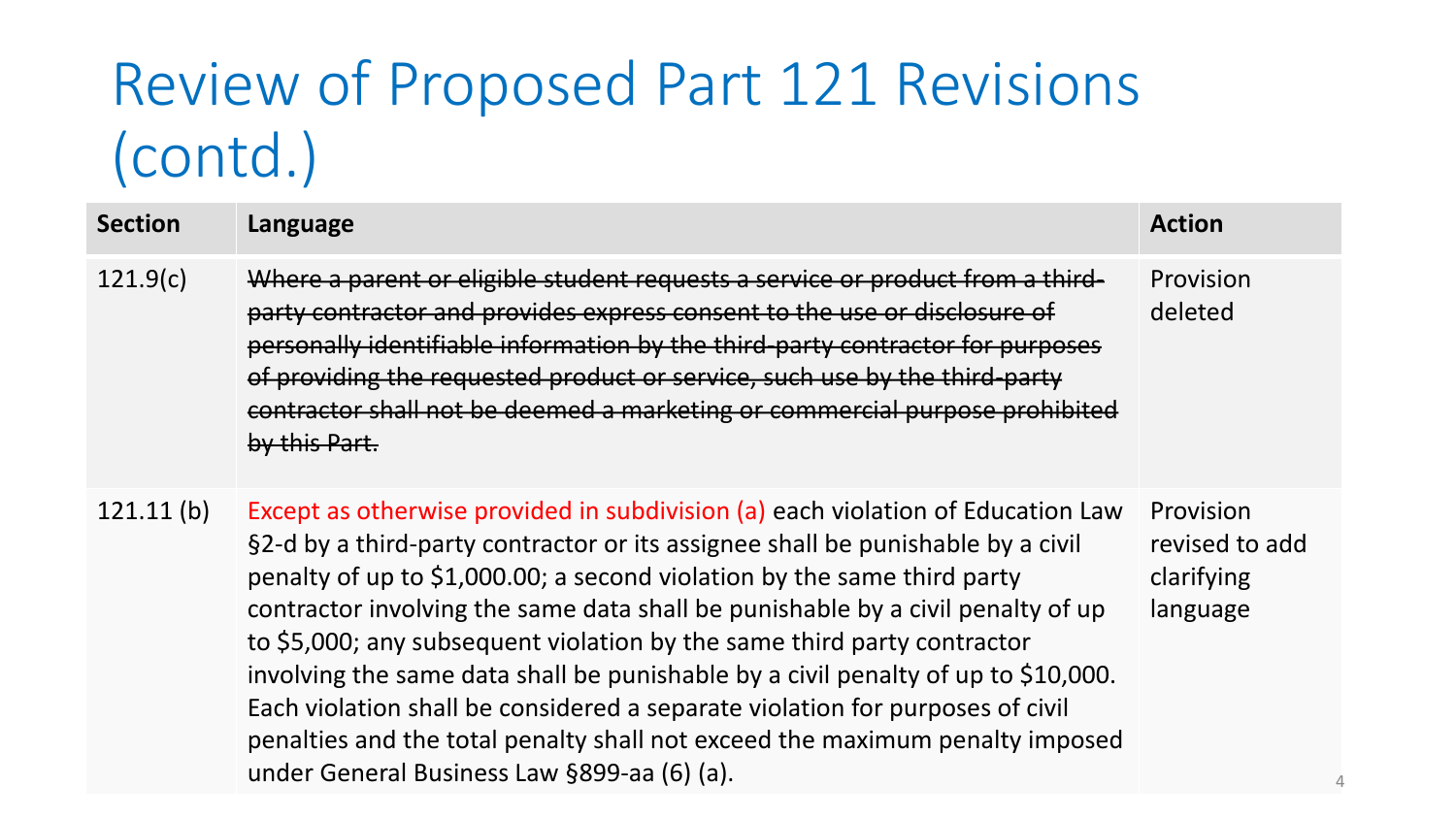### Review of Proposed Part 121 Revisions (contd.)

| <b>Section</b> | Language                                                                                                                                                                                                                                                                                                                                                                                                                                                                                                                                                                                                                                                                                                         | <b>Action</b>                                         |
|----------------|------------------------------------------------------------------------------------------------------------------------------------------------------------------------------------------------------------------------------------------------------------------------------------------------------------------------------------------------------------------------------------------------------------------------------------------------------------------------------------------------------------------------------------------------------------------------------------------------------------------------------------------------------------------------------------------------------------------|-------------------------------------------------------|
| 121.9(c)       | Where a parent or eligible student requests a service or product from a third-<br>party contractor and provides express consent to the use or disclosure of<br>personally identifiable information by the third-party contractor for purposes<br>of providing the requested product or service, such use by the third-party<br>contractor shall not be deemed a marketing or commercial purpose prohibited<br>by this Part.                                                                                                                                                                                                                                                                                      | Provision<br>deleted                                  |
| 121.11(b)      | Except as otherwise provided in subdivision (a) each violation of Education Law<br>§2-d by a third-party contractor or its assignee shall be punishable by a civil<br>penalty of up to \$1,000.00; a second violation by the same third party<br>contractor involving the same data shall be punishable by a civil penalty of up<br>to \$5,000; any subsequent violation by the same third party contractor<br>involving the same data shall be punishable by a civil penalty of up to \$10,000.<br>Each violation shall be considered a separate violation for purposes of civil<br>penalties and the total penalty shall not exceed the maximum penalty imposed<br>under General Business Law §899-aa (6) (a). | Provision<br>revised to add<br>clarifying<br>language |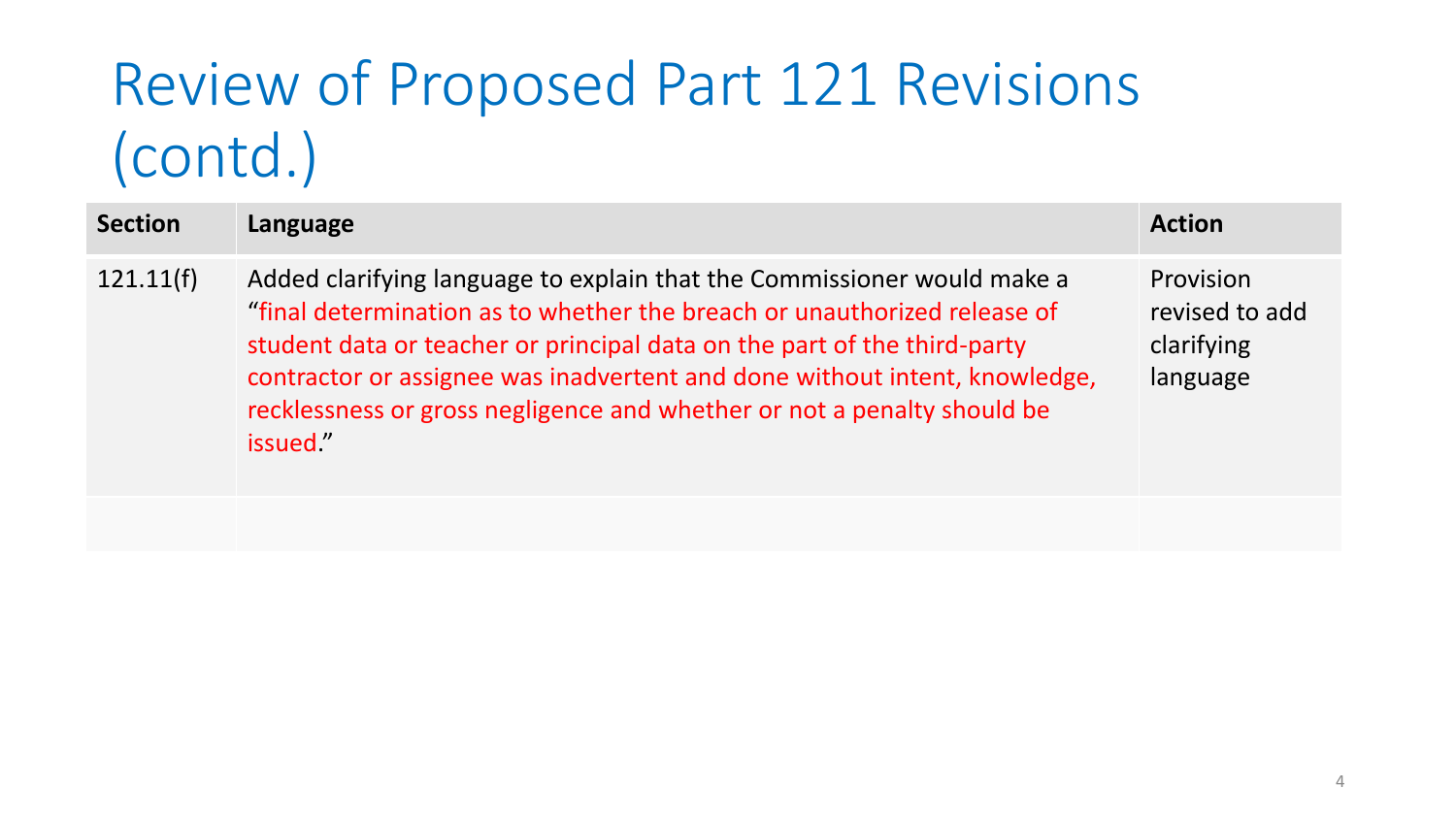### Review of Proposed Part 121 Revisions (contd.)

| <b>Section</b> | Language                                                                                                                                                                                                                                                                                                                                                                                             | <b>Action</b>                                         |
|----------------|------------------------------------------------------------------------------------------------------------------------------------------------------------------------------------------------------------------------------------------------------------------------------------------------------------------------------------------------------------------------------------------------------|-------------------------------------------------------|
| 121.11(f)      | Added clarifying language to explain that the Commissioner would make a<br>"final determination as to whether the breach or unauthorized release of<br>student data or teacher or principal data on the part of the third-party<br>contractor or assignee was inadvertent and done without intent, knowledge,<br>recklessness or gross negligence and whether or not a penalty should be<br>issued." | Provision<br>revised to add<br>clarifying<br>language |
|                |                                                                                                                                                                                                                                                                                                                                                                                                      |                                                       |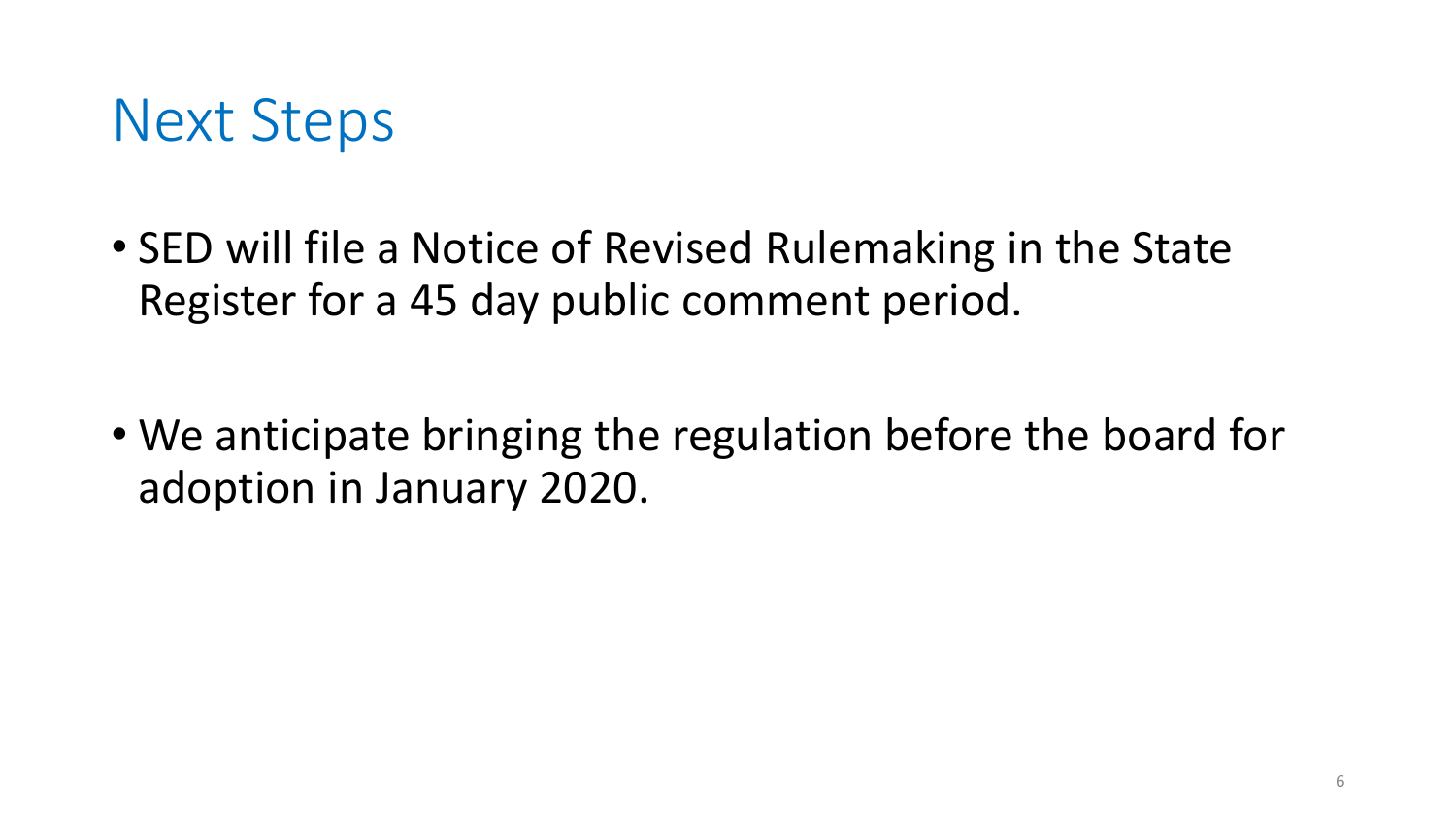

• SED will file a Notice of Revised Rulemaking in the State Register for a 45 day public comment period.

• We anticipate bringing the regulation before the board for adoption in January 2020.